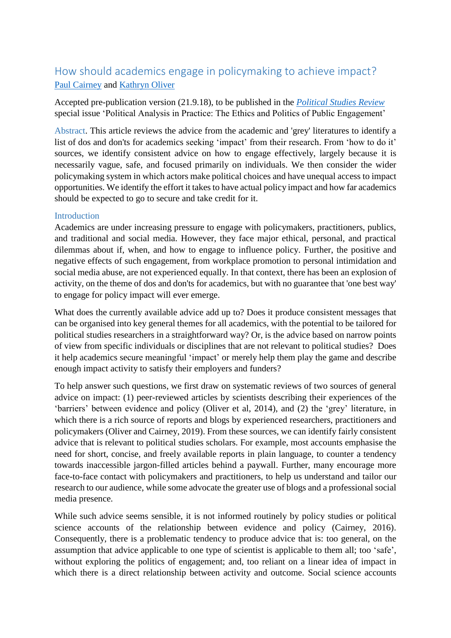# How should academics engage in policymaking to achieve impact? [Paul Cairney](https://twitter.com/CairneyPaul) and [Kathryn Oliver](https://twitter.com/oliver_kathryn)

Accepted pre-publication version (21.9.18), to be published in the *[Political Studies Review](http://journals.sagepub.com/home/psw)* special issue 'Political Analysis in Practice: The Ethics and Politics of Public Engagement'

Abstract. This article reviews the advice from the academic and 'grey' literatures to identify a list of dos and don'ts for academics seeking 'impact' from their research. From 'how to do it' sources, we identify consistent advice on how to engage effectively, largely because it is necessarily vague, safe, and focused primarily on individuals. We then consider the wider policymaking system in which actors make political choices and have unequal access to impact opportunities. We identify the effort it takes to have actual policy impact and how far academics should be expected to go to secure and take credit for it.

### Introduction

Academics are under increasing pressure to engage with policymakers, practitioners, publics, and traditional and social media. However, they face major ethical, personal, and practical dilemmas about if, when, and how to engage to influence policy. Further, the positive and negative effects of such engagement, from workplace promotion to personal intimidation and social media abuse, are not experienced equally. In that context, there has been an explosion of activity, on the theme of dos and don'ts for academics, but with no guarantee that 'one best way' to engage for policy impact will ever emerge.

What does the currently available advice add up to? Does it produce consistent messages that can be organised into key general themes for all academics, with the potential to be tailored for political studies researchers in a straightforward way? Or, is the advice based on narrow points of view from specific individuals or disciplines that are not relevant to political studies? Does it help academics secure meaningful 'impact' or merely help them play the game and describe enough impact activity to satisfy their employers and funders?

To help answer such questions, we first draw on systematic reviews of two sources of general advice on impact: (1) peer-reviewed articles by scientists describing their experiences of the 'barriers' between evidence and policy (Oliver et al, 2014), and (2) the 'grey' literature, in which there is a rich source of reports and blogs by experienced researchers, practitioners and policymakers (Oliver and Cairney, 2019). From these sources, we can identify fairly consistent advice that is relevant to political studies scholars. For example, most accounts emphasise the need for short, concise, and freely available reports in plain language, to counter a tendency towards inaccessible jargon-filled articles behind a paywall. Further, many encourage more face-to-face contact with policymakers and practitioners, to help us understand and tailor our research to our audience, while some advocate the greater use of blogs and a professional social media presence.

While such advice seems sensible, it is not informed routinely by policy studies or political science accounts of the relationship between evidence and policy (Cairney, 2016). Consequently, there is a problematic tendency to produce advice that is: too general, on the assumption that advice applicable to one type of scientist is applicable to them all; too 'safe', without exploring the politics of engagement; and, too reliant on a linear idea of impact in which there is a direct relationship between activity and outcome. Social science accounts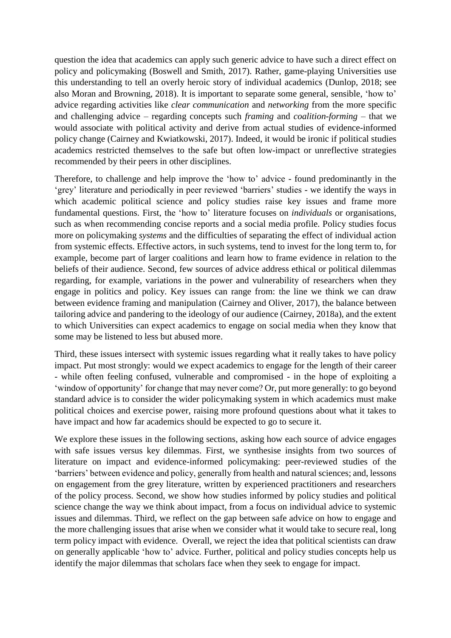question the idea that academics can apply such generic advice to have such a direct effect on policy and policymaking (Boswell and Smith, 2017). Rather, game-playing Universities use this understanding to tell an overly heroic story of individual academics (Dunlop, 2018; see also Moran and Browning, 2018). It is important to separate some general, sensible, 'how to' advice regarding activities like *clear communication* and *networking* from the more specific and challenging advice – regarding concepts such *framing* and *coalition-forming* – that we would associate with political activity and derive from actual studies of evidence-informed policy change (Cairney and Kwiatkowski, 2017). Indeed, it would be ironic if political studies academics restricted themselves to the safe but often low-impact or unreflective strategies recommended by their peers in other disciplines.

Therefore, to challenge and help improve the 'how to' advice - found predominantly in the 'grey' literature and periodically in peer reviewed 'barriers' studies - we identify the ways in which academic political science and policy studies raise key issues and frame more fundamental questions. First, the 'how to' literature focuses on *individuals* or organisations, such as when recommending concise reports and a social media profile. Policy studies focus more on policymaking *systems* and the difficulties of separating the effect of individual action from systemic effects. Effective actors, in such systems, tend to invest for the long term to, for example, become part of larger coalitions and learn how to frame evidence in relation to the beliefs of their audience. Second, few sources of advice address ethical or political dilemmas regarding, for example, variations in the power and vulnerability of researchers when they engage in politics and policy. Key issues can range from: the line we think we can draw between evidence framing and manipulation (Cairney and Oliver, 2017), the balance between tailoring advice and pandering to the ideology of our audience (Cairney, 2018a), and the extent to which Universities can expect academics to engage on social media when they know that some may be listened to less but abused more.

Third, these issues intersect with systemic issues regarding what it really takes to have policy impact. Put most strongly: would we expect academics to engage for the length of their career - while often feeling confused, vulnerable and compromised - in the hope of exploiting a 'window of opportunity' for change that may never come? Or, put more generally: to go beyond standard advice is to consider the wider policymaking system in which academics must make political choices and exercise power, raising more profound questions about what it takes to have impact and how far academics should be expected to go to secure it.

We explore these issues in the following sections, asking how each source of advice engages with safe issues versus key dilemmas. First, we synthesise insights from two sources of literature on impact and evidence-informed policymaking: peer-reviewed studies of the 'barriers' between evidence and policy, generally from health and natural sciences; and, lessons on engagement from the grey literature, written by experienced practitioners and researchers of the policy process. Second, we show how studies informed by policy studies and political science change the way we think about impact, from a focus on individual advice to systemic issues and dilemmas. Third, we reflect on the gap between safe advice on how to engage and the more challenging issues that arise when we consider what it would take to secure real, long term policy impact with evidence. Overall, we reject the idea that political scientists can draw on generally applicable 'how to' advice. Further, political and policy studies concepts help us identify the major dilemmas that scholars face when they seek to engage for impact.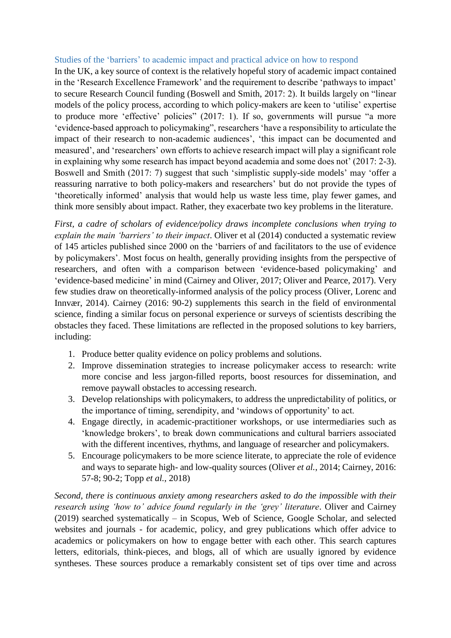#### Studies of the 'barriers' to academic impact and practical advice on how to respond

In the UK, a key source of context is the relatively hopeful story of academic impact contained in the 'Research Excellence Framework' and the requirement to describe 'pathways to impact' to secure Research Council funding (Boswell and Smith, 2017: 2). It builds largely on "linear models of the policy process, according to which policy-makers are keen to 'utilise' expertise to produce more 'effective' policies" (2017: 1). If so, governments will pursue "a more 'evidence-based approach to policymaking", researchers 'have a responsibility to articulate the impact of their research to non-academic audiences', 'this impact can be documented and measured', and 'researchers' own efforts to achieve research impact will play a significant role in explaining why some research has impact beyond academia and some does not' (2017: 2-3). Boswell and Smith (2017: 7) suggest that such 'simplistic supply-side models' may 'offer a reassuring narrative to both policy-makers and researchers' but do not provide the types of 'theoretically informed' analysis that would help us waste less time, play fewer games, and think more sensibly about impact. Rather, they exacerbate two key problems in the literature.

*First, a cadre of scholars of evidence/policy draws incomplete conclusions when trying to explain the main 'barriers' to their impact*. Oliver et al (2014) conducted a systematic review of 145 articles published since 2000 on the 'barriers of and facilitators to the use of evidence by policymakers'. Most focus on health, generally providing insights from the perspective of researchers, and often with a comparison between 'evidence-based policymaking' and 'evidence-based medicine' in mind (Cairney and Oliver, 2017; Oliver and Pearce, 2017). Very few studies draw on theoretically-informed analysis of the policy process (Oliver, Lorenc and Innvær, 2014). Cairney (2016: 90-2) supplements this search in the field of environmental science, finding a similar focus on personal experience or surveys of scientists describing the obstacles they faced. These limitations are reflected in the proposed solutions to key barriers, including:

- 1. Produce better quality evidence on policy problems and solutions.
- 2. Improve dissemination strategies to increase policymaker access to research: write more concise and less jargon-filled reports, boost resources for dissemination, and remove paywall obstacles to accessing research.
- 3. Develop relationships with policymakers, to address the unpredictability of politics, or the importance of timing, serendipity, and 'windows of opportunity' to act.
- 4. Engage directly, in academic-practitioner workshops, or use intermediaries such as 'knowledge brokers', to break down communications and cultural barriers associated with the different incentives, rhythms, and language of researcher and policymakers.
- 5. Encourage policymakers to be more science literate, to appreciate the role of evidence and ways to separate high- and low-quality sources (Oliver *et al.*, 2014; Cairney, 2016: 57-8; 90-2; Topp *et al.*, 2018)

*Second, there is continuous anxiety among researchers asked to do the impossible with their research using 'how to' advice found regularly in the 'grey' literature*. Oliver and Cairney (2019) searched systematically – in Scopus, Web of Science, Google Scholar, and selected websites and journals - for academic, policy, and grey publications which offer advice to academics or policymakers on how to engage better with each other. This search captures letters, editorials, think-pieces, and blogs, all of which are usually ignored by evidence syntheses. These sources produce a remarkably consistent set of tips over time and across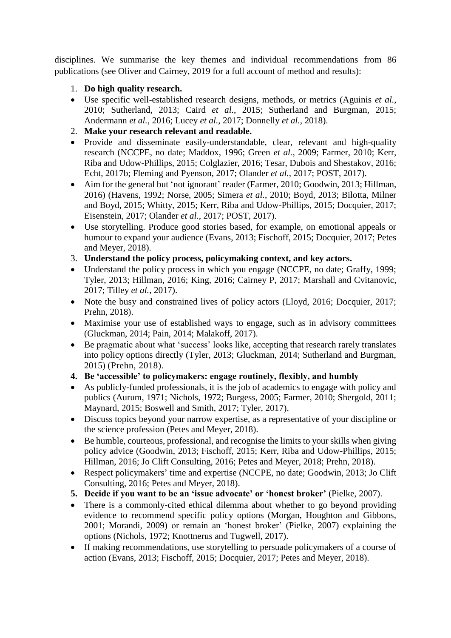disciplines. We summarise the key themes and individual recommendations from 86 publications (see Oliver and Cairney, 2019 for a full account of method and results):

# 1. **Do high quality research.**

- Use specific well-established research designs, methods, or metrics (Aguinis *et al.*, 2010; Sutherland, 2013; Caird *et al.*, 2015; Sutherland and Burgman, 2015; Andermann *et al.*, 2016; Lucey *et al.*, 2017; Donnelly *et al.*, 2018).
- 2. **Make your research relevant and readable.**
- Provide and disseminate easily-understandable, clear, relevant and high-quality research (NCCPE, no date; Maddox, 1996; Green *et al.*, 2009; Farmer, 2010; Kerr, Riba and Udow-Phillips, 2015; Colglazier, 2016; Tesar, Dubois and Shestakov, 2016; Echt, 2017b; Fleming and Pyenson, 2017; Olander *et al.*, 2017; POST, 2017).
- Aim for the general but 'not ignorant' reader (Farmer, 2010; Goodwin, 2013; Hillman, 2016) (Havens, 1992; Norse, 2005; Simera *et al.*, 2010; Boyd, 2013; Bilotta, Milner and Boyd, 2015; Whitty, 2015; Kerr, Riba and Udow-Phillips, 2015; Docquier, 2017; Eisenstein, 2017; Olander *et al.*, 2017; POST, 2017).
- Use storytelling. Produce good stories based, for example, on emotional appeals or humour to expand your audience (Evans, 2013; Fischoff, 2015; Docquier, 2017; Petes and Meyer, 2018).
- 3. **Understand the policy process, policymaking context, and key actors.**
- Understand the policy process in which you engage (NCCPE, no date; Graffy, 1999; Tyler, 2013; Hillman, 2016; King, 2016; Cairney P, 2017; Marshall and Cvitanovic, 2017; Tilley *et al.*, 2017).
- Note the busy and constrained lives of policy actors (Lloyd, 2016; Docquier, 2017; Prehn, 2018).
- Maximise your use of established ways to engage, such as in advisory committees (Gluckman, 2014; Pain, 2014; Malakoff, 2017).
- Be pragmatic about what 'success' looks like, accepting that research rarely translates into policy options directly (Tyler, 2013; Gluckman, 2014; Sutherland and Burgman, 2015) (Prehn, 2018).
- **4. Be 'accessible' to policymakers: engage routinely, flexibly, and humbly**
- As publicly-funded professionals, it is the job of academics to engage with policy and publics (Aurum, 1971; Nichols, 1972; Burgess, 2005; Farmer, 2010; Shergold, 2011; Maynard, 2015; Boswell and Smith, 2017; Tyler, 2017).
- Discuss topics beyond your narrow expertise, as a representative of your discipline or the science profession (Petes and Meyer, 2018).
- Be humble, courteous, professional, and recognise the limits to your skills when giving policy advice (Goodwin, 2013; Fischoff, 2015; Kerr, Riba and Udow-Phillips, 2015; Hillman, 2016; Jo Clift Consulting, 2016; Petes and Meyer, 2018; Prehn, 2018).
- Respect policymakers' time and expertise (NCCPE, no date; Goodwin, 2013; Jo Clift Consulting, 2016; Petes and Meyer, 2018).
- **5. Decide if you want to be an 'issue advocate' or 'honest broker'** (Pielke, 2007).
- There is a commonly-cited ethical dilemma about whether to go beyond providing evidence to recommend specific policy options (Morgan, Houghton and Gibbons, 2001; Morandi, 2009) or remain an 'honest broker' (Pielke, 2007) explaining the options (Nichols, 1972; Knottnerus and Tugwell, 2017).
- If making recommendations, use storytelling to persuade policymakers of a course of action (Evans, 2013; Fischoff, 2015; Docquier, 2017; Petes and Meyer, 2018).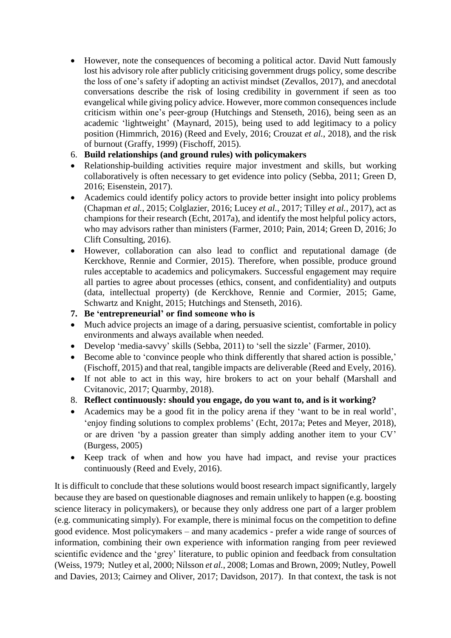• However, note the consequences of becoming a political actor. David Nutt famously lost his advisory role after publicly criticising government drugs policy, some describe the loss of one's safety if adopting an activist mindset (Zevallos, 2017), and anecdotal conversations describe the risk of losing credibility in government if seen as too evangelical while giving policy advice. However, more common consequences include criticism within one's peer-group (Hutchings and Stenseth, 2016), being seen as an academic 'lightweight' (Maynard, 2015), being used to add legitimacy to a policy position (Himmrich, 2016) (Reed and Evely, 2016; Crouzat *et al.*, 2018), and the risk of burnout (Graffy, 1999) (Fischoff, 2015).

# 6. **Build relationships (and ground rules) with policymakers**

- Relationship-building activities require major investment and skills, but working collaboratively is often necessary to get evidence into policy (Sebba, 2011; Green D, 2016; Eisenstein, 2017).
- Academics could identify policy actors to provide better insight into policy problems (Chapman *et al.*, 2015; Colglazier, 2016; Lucey *et al.*, 2017; Tilley *et al.*, 2017), act as champions for their research (Echt, 2017a), and identify the most helpful policy actors, who may advisors rather than ministers (Farmer, 2010; Pain, 2014; Green D, 2016; Jo Clift Consulting, 2016).
- However, collaboration can also lead to conflict and reputational damage (de Kerckhove, Rennie and Cormier, 2015). Therefore, when possible, produce ground rules acceptable to academics and policymakers. Successful engagement may require all parties to agree about processes (ethics, consent, and confidentiality) and outputs (data, intellectual property) (de Kerckhove, Rennie and Cormier, 2015; Game, Schwartz and Knight, 2015; Hutchings and Stenseth, 2016).
- **7. Be 'entrepreneurial' or find someone who is**
- Much advice projects an image of a daring, persuasive scientist, comfortable in policy environments and always available when needed.
- Develop 'media-savvy' skills (Sebba, 2011) to 'sell the sizzle' (Farmer, 2010).
- Become able to 'convince people who think differently that shared action is possible,' (Fischoff, 2015) and that real, tangible impacts are deliverable (Reed and Evely, 2016).
- If not able to act in this way, hire brokers to act on your behalf (Marshall and Cvitanovic, 2017; Quarmby, 2018).
- 8. **Reflect continuously: should you engage, do you want to, and is it working?**
- Academics may be a good fit in the policy arena if they 'want to be in real world', 'enjoy finding solutions to complex problems' (Echt, 2017a; Petes and Meyer, 2018), or are driven 'by a passion greater than simply adding another item to your CV' (Burgess, 2005)
- Keep track of when and how you have had impact, and revise your practices continuously (Reed and Evely, 2016).

It is difficult to conclude that these solutions would boost research impact significantly, largely because they are based on questionable diagnoses and remain unlikely to happen (e.g. boosting science literacy in policymakers), or because they only address one part of a larger problem (e.g. communicating simply). For example, there is minimal focus on the competition to define good evidence. Most policymakers – and many academics - prefer a wide range of sources of information, combining their own experience with information ranging from peer reviewed scientific evidence and the 'grey' literature, to public opinion and feedback from consultation (Weiss, 1979; Nutley et al, 2000; Nilsson *et al.*, 2008; Lomas and Brown, 2009; Nutley, Powell and Davies, 2013; Cairney and Oliver, 2017; Davidson, 2017). In that context, the task is not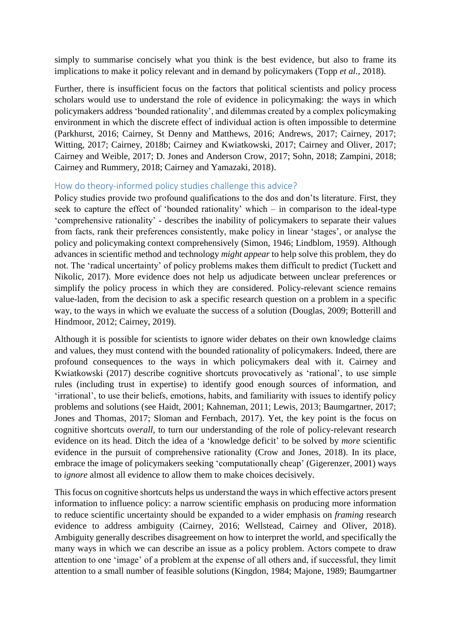simply to summarise concisely what you think is the best evidence, but also to frame its implications to make it policy relevant and in demand by policymakers (Topp *et al.*, 2018).

Further, there is insufficient focus on the factors that political scientists and policy process scholars would use to understand the role of evidence in policymaking: the ways in which policymakers address 'bounded rationality', and dilemmas created by a complex policymaking environment in which the discrete effect of individual action is often impossible to determine (Parkhurst, 2016; Cairney, St Denny and Matthews, 2016; Andrews, 2017; Cairney, 2017; Witting, 2017; Cairney, 2018b; Cairney and Kwiatkowski, 2017; Cairney and Oliver, 2017; Cairney and Weible, 2017; D. Jones and Anderson Crow, 2017; Sohn, 2018; Zampini, 2018; Cairney and Rummery, 2018; Cairney and Yamazaki, 2018).

### How do theory-informed policy studies challenge this advice?

Policy studies provide two profound qualifications to the dos and don'ts literature. First, they seek to capture the effect of 'bounded rationality' which – in comparison to the ideal-type 'comprehensive rationality' - describes the inability of policymakers to separate their values from facts, rank their preferences consistently, make policy in linear 'stages', or analyse the policy and policymaking context comprehensively (Simon, 1946; Lindblom, 1959). Although advances in scientific method and technology *might appear* to help solve this problem, they do not. The 'radical uncertainty' of policy problems makes them difficult to predict (Tuckett and Nikolic, 2017). More evidence does not help us adjudicate between unclear preferences or simplify the policy process in which they are considered. Policy-relevant science remains value-laden, from the decision to ask a specific research question on a problem in a specific way, to the ways in which we evaluate the success of a solution (Douglas, 2009; Botterill and Hindmoor, 2012; Cairney, 2019).

Although it is possible for scientists to ignore wider debates on their own knowledge claims and values, they must contend with the bounded rationality of policymakers. Indeed, there are profound consequences to the ways in which policymakers deal with it. Cairney and Kwiatkowski (2017) describe cognitive shortcuts provocatively as 'rational', to use simple rules (including trust in expertise) to identify good enough sources of information, and 'irrational', to use their beliefs, emotions, habits, and familiarity with issues to identify policy problems and solutions (see Haidt, 2001; Kahneman, 2011; Lewis, 2013; Baumgartner, 2017; Jones and Thomas, 2017; Sloman and Fernbach, 2017). Yet, the key point is the focus on cognitive shortcuts *overall*, to turn our understanding of the role of policy-relevant research evidence on its head. Ditch the idea of a 'knowledge deficit' to be solved by *more* scientific evidence in the pursuit of comprehensive rationality (Crow and Jones, 2018). In its place, embrace the image of policymakers seeking 'computationally cheap' (Gigerenzer, 2001) ways to *ignore* almost all evidence to allow them to make choices decisively.

This focus on cognitive shortcuts helps us understand the ways in which effective actors present information to influence policy: a narrow scientific emphasis on producing more information to reduce scientific uncertainty should be expanded to a wider emphasis on *framing* research evidence to address ambiguity (Cairney, 2016; Wellstead, Cairney and Oliver, 2018). Ambiguity generally describes disagreement on how to interpret the world, and specifically the many ways in which we can describe an issue as a policy problem. Actors compete to draw attention to one 'image' of a problem at the expense of all others and, if successful, they limit attention to a small number of feasible solutions (Kingdon, 1984; Majone, 1989; Baumgartner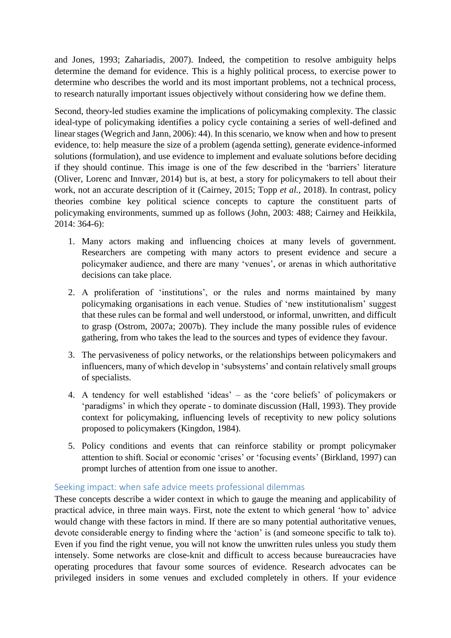and Jones, 1993; Zahariadis, 2007). Indeed, the competition to resolve ambiguity helps determine the demand for evidence. This is a highly political process, to exercise power to determine who describes the world and its most important problems, not a technical process, to research naturally important issues objectively without considering how we define them.

Second, theory-led studies examine the implications of policymaking complexity. The classic ideal-type of policymaking identifies a policy cycle containing a series of well-defined and linear stages (Wegrich and Jann, 2006): 44). In this scenario, we know when and how to present evidence, to: help measure the size of a problem (agenda setting), generate evidence-informed solutions (formulation), and use evidence to implement and evaluate solutions before deciding if they should continue. This image is one of the few described in the 'barriers' literature (Oliver, Lorenc and Innvær, 2014) but is, at best, a story for policymakers to tell about their work, not an accurate description of it (Cairney, 2015; Topp *et al.*, 2018). In contrast, policy theories combine key political science concepts to capture the constituent parts of policymaking environments, summed up as follows (John, 2003: 488; Cairney and Heikkila, 2014: 364-6):

- 1. Many actors making and influencing choices at many levels of government. Researchers are competing with many actors to present evidence and secure a policymaker audience, and there are many 'venues', or arenas in which authoritative decisions can take place.
- 2. A proliferation of 'institutions', or the rules and norms maintained by many policymaking organisations in each venue. Studies of 'new institutionalism' suggest that these rules can be formal and well understood, or informal, unwritten, and difficult to grasp (Ostrom, 2007a; 2007b). They include the many possible rules of evidence gathering, from who takes the lead to the sources and types of evidence they favour.
- 3. The pervasiveness of policy networks, or the relationships between policymakers and influencers, many of which develop in 'subsystems' and contain relatively small groups of specialists.
- 4. A tendency for well established 'ideas' as the 'core beliefs' of policymakers or 'paradigms' in which they operate - to dominate discussion (Hall, 1993). They provide context for policymaking, influencing levels of receptivity to new policy solutions proposed to policymakers (Kingdon, 1984).
- 5. Policy conditions and events that can reinforce stability or prompt policymaker attention to shift. Social or economic 'crises' or 'focusing events' (Birkland, 1997) can prompt lurches of attention from one issue to another.

# Seeking impact: when safe advice meets professional dilemmas

These concepts describe a wider context in which to gauge the meaning and applicability of practical advice, in three main ways. First, note the extent to which general 'how to' advice would change with these factors in mind. If there are so many potential authoritative venues, devote considerable energy to finding where the 'action' is (and someone specific to talk to). Even if you find the right venue, you will not know the unwritten rules unless you study them intensely. Some networks are close-knit and difficult to access because bureaucracies have operating procedures that favour some sources of evidence. Research advocates can be privileged insiders in some venues and excluded completely in others. If your evidence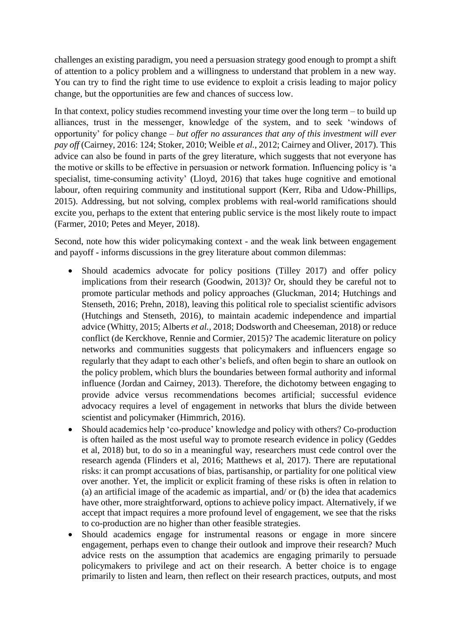challenges an existing paradigm, you need a persuasion strategy good enough to prompt a shift of attention to a policy problem and a willingness to understand that problem in a new way. You can try to find the right time to use evidence to exploit a crisis leading to major policy change, but the opportunities are few and chances of success low.

In that context, policy studies recommend investing your time over the long term  $-$  to build up alliances, trust in the messenger, knowledge of the system, and to seek 'windows of opportunity' for policy change – *but offer no assurances that any of this investment will ever pay off* (Cairney, 2016: 124; Stoker, 2010; Weible *et al.*, 2012; Cairney and Oliver, 2017). This advice can also be found in parts of the grey literature, which suggests that not everyone has the motive or skills to be effective in persuasion or network formation. Influencing policy is 'a specialist, time-consuming activity' (Lloyd, 2016) that takes huge cognitive and emotional labour, often requiring community and institutional support (Kerr, Riba and Udow-Phillips, 2015). Addressing, but not solving, complex problems with real-world ramifications should excite you, perhaps to the extent that entering public service is the most likely route to impact (Farmer, 2010; Petes and Meyer, 2018).

Second, note how this wider policymaking context - and the weak link between engagement and payoff - informs discussions in the grey literature about common dilemmas:

- Should academics advocate for policy positions (Tilley 2017) and offer policy implications from their research (Goodwin, 2013)? Or, should they be careful not to promote particular methods and policy approaches (Gluckman, 2014; Hutchings and Stenseth, 2016; Prehn, 2018), leaving this political role to specialist scientific advisors (Hutchings and Stenseth, 2016), to maintain academic independence and impartial advice (Whitty, 2015; Alberts *et al.*, 2018; Dodsworth and Cheeseman, 2018) or reduce conflict (de Kerckhove, Rennie and Cormier, 2015)? The academic literature on policy networks and communities suggests that policymakers and influencers engage so regularly that they adapt to each other's beliefs, and often begin to share an outlook on the policy problem, which blurs the boundaries between formal authority and informal influence (Jordan and Cairney, 2013). Therefore, the dichotomy between engaging to provide advice versus recommendations becomes artificial; successful evidence advocacy requires a level of engagement in networks that blurs the divide between scientist and policymaker (Himmrich, 2016).
- Should academics help 'co-produce' knowledge and policy with others? Co-production is often hailed as the most useful way to promote research evidence in policy (Geddes et al, 2018) but, to do so in a meaningful way, researchers must cede control over the research agenda (Flinders et al, 2016; Matthews et al, 2017). There are reputational risks: it can prompt accusations of bias, partisanship, or partiality for one political view over another. Yet, the implicit or explicit framing of these risks is often in relation to (a) an artificial image of the academic as impartial, and/ or (b) the idea that academics have other, more straightforward, options to achieve policy impact. Alternatively, if we accept that impact requires a more profound level of engagement, we see that the risks to co-production are no higher than other feasible strategies.
- Should academics engage for instrumental reasons or engage in more sincere engagement, perhaps even to change their outlook and improve their research? Much advice rests on the assumption that academics are engaging primarily to persuade policymakers to privilege and act on their research. A better choice is to engage primarily to listen and learn, then reflect on their research practices, outputs, and most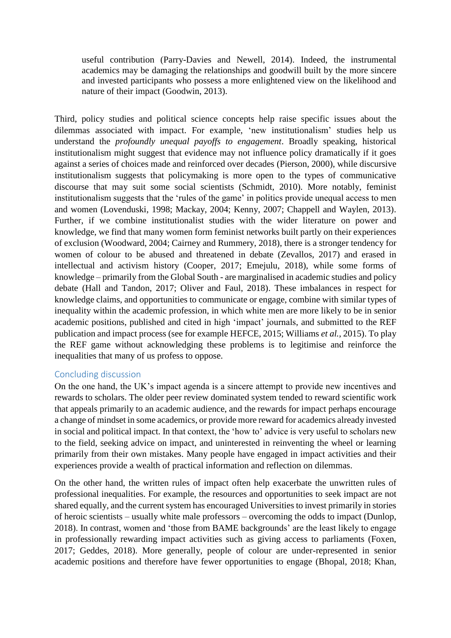useful contribution (Parry-Davies and Newell, 2014). Indeed, the instrumental academics may be damaging the relationships and goodwill built by the more sincere and invested participants who possess a more enlightened view on the likelihood and nature of their impact (Goodwin, 2013).

Third, policy studies and political science concepts help raise specific issues about the dilemmas associated with impact. For example, 'new institutionalism' studies help us understand the *profoundly unequal payoffs to engagement*. Broadly speaking, historical institutionalism might suggest that evidence may not influence policy dramatically if it goes against a series of choices made and reinforced over decades (Pierson, 2000), while discursive institutionalism suggests that policymaking is more open to the types of communicative discourse that may suit some social scientists (Schmidt, 2010). More notably, feminist institutionalism suggests that the 'rules of the game' in politics provide unequal access to men and women (Lovenduski, 1998; Mackay, 2004; Kenny, 2007; Chappell and Waylen, 2013). Further, if we combine institutionalist studies with the wider literature on power and knowledge, we find that many women form feminist networks built partly on their experiences of exclusion (Woodward, 2004; Cairney and Rummery, 2018), there is a stronger tendency for women of colour to be abused and threatened in debate (Zevallos, 2017) and erased in intellectual and activism history (Cooper, 2017; Emejulu, 2018), while some forms of knowledge – primarily from the Global South - are marginalised in academic studies and policy debate (Hall and Tandon, 2017; Oliver and Faul, 2018). These imbalances in respect for knowledge claims, and opportunities to communicate or engage, combine with similar types of inequality within the academic profession, in which white men are more likely to be in senior academic positions, published and cited in high 'impact' journals, and submitted to the REF publication and impact process (see for example HEFCE, 2015; Williams *et al.*, 2015). To play the REF game without acknowledging these problems is to legitimise and reinforce the inequalities that many of us profess to oppose.

# Concluding discussion

On the one hand, the UK's impact agenda is a sincere attempt to provide new incentives and rewards to scholars. The older peer review dominated system tended to reward scientific work that appeals primarily to an academic audience, and the rewards for impact perhaps encourage a change of mindset in some academics, or provide more reward for academics already invested in social and political impact. In that context, the 'how to' advice is very useful to scholars new to the field, seeking advice on impact, and uninterested in reinventing the wheel or learning primarily from their own mistakes. Many people have engaged in impact activities and their experiences provide a wealth of practical information and reflection on dilemmas.

On the other hand, the written rules of impact often help exacerbate the unwritten rules of professional inequalities. For example, the resources and opportunities to seek impact are not shared equally, and the current system has encouraged Universities to invest primarily in stories of heroic scientists – usually white male professors – overcoming the odds to impact (Dunlop, 2018). In contrast, women and 'those from BAME backgrounds' are the least likely to engage in professionally rewarding impact activities such as giving access to parliaments (Foxen, 2017; Geddes, 2018). More generally, people of colour are under-represented in senior academic positions and therefore have fewer opportunities to engage (Bhopal, 2018; Khan,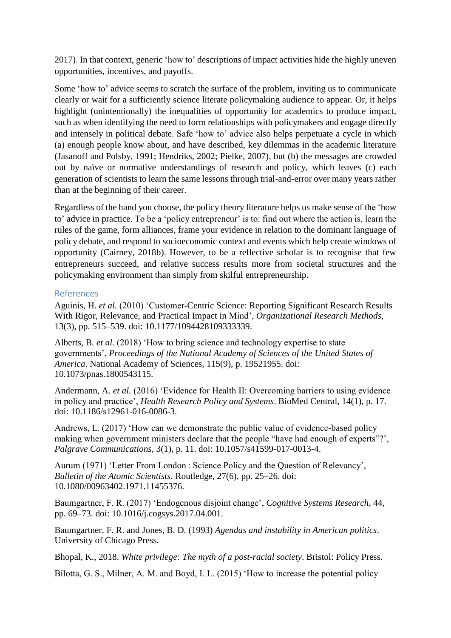2017). In that context, generic 'how to' descriptions of impact activities hide the highly uneven opportunities, incentives, and payoffs.

Some 'how to' advice seems to scratch the surface of the problem, inviting us to communicate clearly or wait for a sufficiently science literate policymaking audience to appear. Or, it helps highlight (unintentionally) the inequalities of opportunity for academics to produce impact, such as when identifying the need to form relationships with policymakers and engage directly and intensely in political debate. Safe 'how to' advice also helps perpetuate a cycle in which (a) enough people know about, and have described, key dilemmas in the academic literature (Jasanoff and Polsby, 1991; Hendriks, 2002; Pielke, 2007), but (b) the messages are crowded out by naïve or normative understandings of research and policy, which leaves (c) each generation of scientists to learn the same lessons through trial-and-error over many years rather than at the beginning of their career.

Regardless of the hand you choose, the policy theory literature helps us make sense of the 'how to' advice in practice. To be a 'policy entrepreneur' is to: find out where the action is, learn the rules of the game, form alliances, frame your evidence in relation to the dominant language of policy debate, and respond to socioeconomic context and events which help create windows of opportunity (Cairney, 2018b). However, to be a reflective scholar is to recognise that few entrepreneurs succeed, and relative success results more from societal structures and the policymaking environment than simply from skilful entrepreneurship.

# References

Aguinis, H. *et al.* (2010) 'Customer-Centric Science: Reporting Significant Research Results With Rigor, Relevance, and Practical Impact in Mind', *Organizational Research Methods*, 13(3), pp. 515–539. doi: 10.1177/1094428109333339.

Alberts, B. *et al.* (2018) 'How to bring science and technology expertise to state governments', *Proceedings of the National Academy of Sciences of the United States of America*. National Academy of Sciences, 115(9), p. 19521955. doi: 10.1073/pnas.1800543115.

Andermann, A. *et al.* (2016) 'Evidence for Health II: Overcoming barriers to using evidence in policy and practice', *Health Research Policy and Systems*. BioMed Central, 14(1), p. 17. doi: 10.1186/s12961-016-0086-3.

Andrews, L. (2017) 'How can we demonstrate the public value of evidence-based policy making when government ministers declare that the people "have had enough of experts"?', *Palgrave Communications*, 3(1), p. 11. doi: 10.1057/s41599-017-0013-4.

Aurum (1971) 'Letter From London : Science Policy and the Question of Relevancy', *Bulletin of the Atomic Scientists*. Routledge, 27(6), pp. 25–26. doi: 10.1080/00963402.1971.11455376.

Baumgartner, F. R. (2017) 'Endogenous disjoint change', *Cognitive Systems Research*, 44, pp. 69–73. doi: 10.1016/j.cogsys.2017.04.001.

Baumgartner, F. R. and Jones, B. D. (1993) *Agendas and instability in American politics*. University of Chicago Press.

Bhopal, K., 2018. *White privilege: The myth of a post-racial society*. Bristol: Policy Press.

Bilotta, G. S., Milner, A. M. and Boyd, I. L. (2015) 'How to increase the potential policy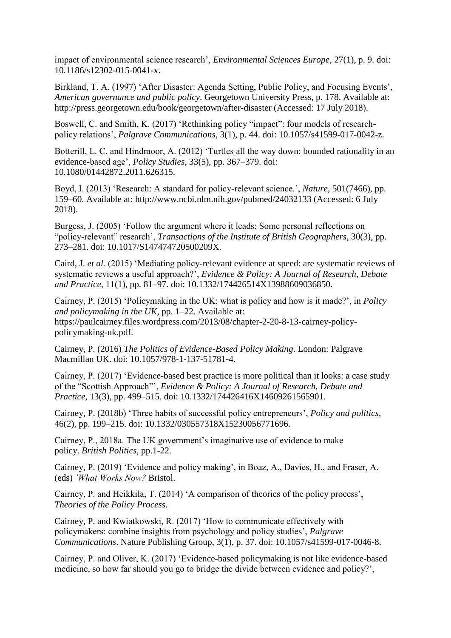impact of environmental science research', *Environmental Sciences Europe*, 27(1), p. 9. doi: 10.1186/s12302-015-0041-x.

Birkland, T. A. (1997) 'After Disaster: Agenda Setting, Public Policy, and Focusing Events', *American governance and public policy*. Georgetown University Press, p. 178. Available at: http://press.georgetown.edu/book/georgetown/after-disaster (Accessed: 17 July 2018).

Boswell, C. and Smith, K. (2017) 'Rethinking policy "impact": four models of researchpolicy relations', *Palgrave Communications*, 3(1), p. 44. doi: 10.1057/s41599-017-0042-z.

Botterill, L. C. and Hindmoor, A. (2012) 'Turtles all the way down: bounded rationality in an evidence-based age', *Policy Studies*, 33(5), pp. 367–379. doi: 10.1080/01442872.2011.626315.

Boyd, I. (2013) 'Research: A standard for policy-relevant science.', *Nature*, 501(7466), pp. 159–60. Available at: http://www.ncbi.nlm.nih.gov/pubmed/24032133 (Accessed: 6 July 2018).

Burgess, J. (2005) 'Follow the argument where it leads: Some personal reflections on "policy-relevant" research', *Transactions of the Institute of British Geographers*, 30(3), pp. 273–281. doi: 10.1017/S147474720500209X.

Caird, J. *et al.* (2015) 'Mediating policy-relevant evidence at speed: are systematic reviews of systematic reviews a useful approach?', *Evidence & Policy: A Journal of Research, Debate and Practice*, 11(1), pp. 81–97. doi: 10.1332/174426514X13988609036850.

Cairney, P. (2015) 'Policymaking in the UK: what is policy and how is it made?', in *Policy and policymaking in the UK*, pp. 1–22. Available at: https://paulcairney.files.wordpress.com/2013/08/chapter-2-20-8-13-cairney-policypolicymaking-uk.pdf.

Cairney, P. (2016) *The Politics of Evidence-Based Policy Making*. London: Palgrave Macmillan UK. doi: 10.1057/978-1-137-51781-4.

Cairney, P. (2017) 'Evidence-based best practice is more political than it looks: a case study of the "Scottish Approach"', *Evidence & Policy: A Journal of Research, Debate and Practice*, 13(3), pp. 499–515. doi: 10.1332/174426416X14609261565901.

Cairney, P. (2018b) 'Three habits of successful policy entrepreneurs', *Policy and politics*, 46(2), pp. 199–215. doi: 10.1332/030557318X15230056771696.

Cairney, P., 2018a. The UK government's imaginative use of evidence to make policy. *British Politics*, pp.1-22.

Cairney, P. (2019) 'Evidence and policy making', in Boaz, A., Davies, H., and Fraser, A. (eds) *'What Works Now?* Bristol.

Cairney, P. and Heikkila, T. (2014) 'A comparison of theories of the policy process', *Theories of the Policy Process*.

Cairney, P. and Kwiatkowski, R. (2017) 'How to communicate effectively with policymakers: combine insights from psychology and policy studies', *Palgrave Communications*. Nature Publishing Group, 3(1), p. 37. doi: 10.1057/s41599-017-0046-8.

Cairney, P. and Oliver, K. (2017) 'Evidence-based policymaking is not like evidence-based medicine, so how far should you go to bridge the divide between evidence and policy?',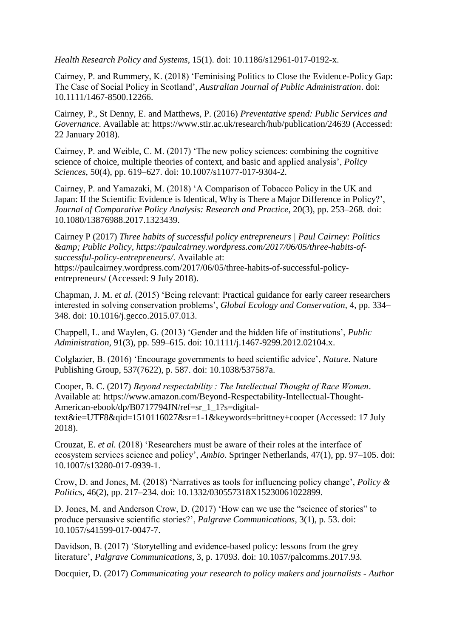*Health Research Policy and Systems*, 15(1). doi: 10.1186/s12961-017-0192-x.

Cairney, P. and Rummery, K. (2018) 'Feminising Politics to Close the Evidence-Policy Gap: The Case of Social Policy in Scotland', *Australian Journal of Public Administration*. doi: 10.1111/1467-8500.12266.

Cairney, P., St Denny, E. and Matthews, P. (2016) *Preventative spend: Public Services and Governance*. Available at: https://www.stir.ac.uk/research/hub/publication/24639 (Accessed: 22 January 2018).

Cairney, P. and Weible, C. M. (2017) 'The new policy sciences: combining the cognitive science of choice, multiple theories of context, and basic and applied analysis', *Policy Sciences*, 50(4), pp. 619–627. doi: 10.1007/s11077-017-9304-2.

Cairney, P. and Yamazaki, M. (2018) 'A Comparison of Tobacco Policy in the UK and Japan: If the Scientific Evidence is Identical, Why is There a Major Difference in Policy?', *Journal of Comparative Policy Analysis: Research and Practice*, 20(3), pp. 253–268. doi: 10.1080/13876988.2017.1323439.

Cairney P (2017) *Three habits of successful policy entrepreneurs | Paul Cairney: Politics & Public Policy*, *https://paulcairney.wordpress.com/2017/06/05/three-habits-ofsuccessful-policy-entrepreneurs/*. Available at:

https://paulcairney.wordpress.com/2017/06/05/three-habits-of-successful-policyentrepreneurs/ (Accessed: 9 July 2018).

Chapman, J. M. *et al.* (2015) 'Being relevant: Practical guidance for early career researchers interested in solving conservation problems', *Global Ecology and Conservation*, 4, pp. 334– 348. doi: 10.1016/j.gecco.2015.07.013.

Chappell, L. and Waylen, G. (2013) 'Gender and the hidden life of institutions', *Public Administration*, 91(3), pp. 599–615. doi: 10.1111/j.1467-9299.2012.02104.x.

Colglazier, B. (2016) 'Encourage governments to heed scientific advice', *Nature*. Nature Publishing Group, 537(7622), p. 587. doi: 10.1038/537587a.

Cooper, B. C. (2017) *Beyond respectability : The Intellectual Thought of Race Women*. Available at: https://www.amazon.com/Beyond-Respectability-Intellectual-Thought-American-ebook/dp/B0717794JN/ref=sr\_1\_1?s=digitaltext&ie=UTF8&qid=1510116027&sr=1-1&keywords=brittney+cooper (Accessed: 17 July 2018).

Crouzat, E. *et al.* (2018) 'Researchers must be aware of their roles at the interface of ecosystem services science and policy', *Ambio*. Springer Netherlands, 47(1), pp. 97–105. doi: 10.1007/s13280-017-0939-1.

Crow, D. and Jones, M. (2018) 'Narratives as tools for influencing policy change', *Policy & Politics*, 46(2), pp. 217–234. doi: 10.1332/030557318X15230061022899.

D. Jones, M. and Anderson Crow, D. (2017) 'How can we use the "science of stories" to produce persuasive scientific stories?', *Palgrave Communications*, 3(1), p. 53. doi: 10.1057/s41599-017-0047-7.

Davidson, B. (2017) 'Storytelling and evidence-based policy: lessons from the grey literature', *Palgrave Communications*, 3, p. 17093. doi: 10.1057/palcomms.2017.93.

Docquier, D. (2017) *Communicating your research to policy makers and journalists - Author*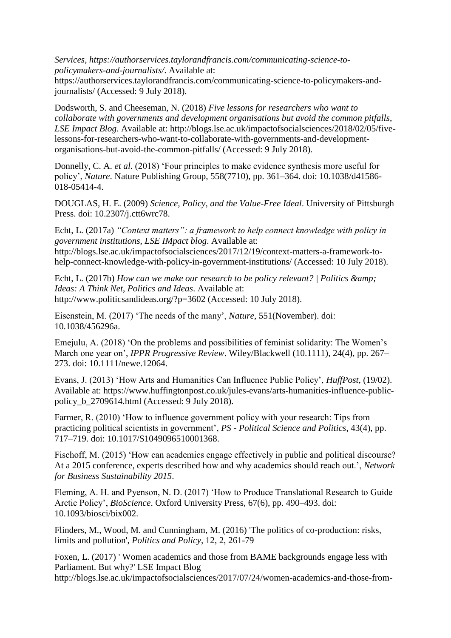*Services*, *https://authorservices.taylorandfrancis.com/communicating-science-topolicymakers-and-journalists/*. Available at:

https://authorservices.taylorandfrancis.com/communicating-science-to-policymakers-andjournalists/ (Accessed: 9 July 2018).

Dodsworth, S. and Cheeseman, N. (2018) *Five lessons for researchers who want to collaborate with governments and development organisations but avoid the common pitfalls*, *LSE Impact Blog*. Available at: http://blogs.lse.ac.uk/impactofsocialsciences/2018/02/05/fivelessons-for-researchers-who-want-to-collaborate-with-governments-and-developmentorganisations-but-avoid-the-common-pitfalls/ (Accessed: 9 July 2018).

Donnelly, C. A. *et al.* (2018) 'Four principles to make evidence synthesis more useful for policy', *Nature*. Nature Publishing Group, 558(7710), pp. 361–364. doi: 10.1038/d41586- 018-05414-4.

DOUGLAS, H. E. (2009) *Science, Policy, and the Value-Free Ideal*. University of Pittsburgh Press. doi: 10.2307/j.ctt6wrc78.

Echt, L. (2017a) *"Context matters": a framework to help connect knowledge with policy in government institutions*, *LSE IMpact blog*. Available at: http://blogs.lse.ac.uk/impactofsocialsciences/2017/12/19/context-matters-a-framework-tohelp-connect-knowledge-with-policy-in-government-institutions/ (Accessed: 10 July 2018).

Echt, L. (2017b) *How can we make our research to be policy relevant? | Politics & amp*; *Ideas: A Think Net*, *Politics and Ideas*. Available at: http://www.politicsandideas.org/?p=3602 (Accessed: 10 July 2018).

Eisenstein, M. (2017) 'The needs of the many', *Nature*, 551(November). doi: 10.1038/456296a.

Emejulu, A. (2018) 'On the problems and possibilities of feminist solidarity: The Women's March one year on', *IPPR Progressive Review*. Wiley/Blackwell (10.1111), 24(4), pp. 267– 273. doi: 10.1111/newe.12064.

Evans, J. (2013) 'How Arts and Humanities Can Influence Public Policy', *HuffPost*, (19/02). Available at: https://www.huffingtonpost.co.uk/jules-evans/arts-humanities-influence-publicpolicy\_b\_2709614.html (Accessed: 9 July 2018).

Farmer, R. (2010) 'How to influence government policy with your research: Tips from practicing political scientists in government', *PS - Political Science and Politics*, 43(4), pp. 717–719. doi: 10.1017/S1049096510001368.

Fischoff, M. (2015) 'How can academics engage effectively in public and political discourse? At a 2015 conference, experts described how and why academics should reach out.', *Network for Business Sustainability 2015*.

Fleming, A. H. and Pyenson, N. D. (2017) 'How to Produce Translational Research to Guide Arctic Policy', *BioScience*. Oxford University Press, 67(6), pp. 490–493. doi: 10.1093/biosci/bix002.

Flinders, M., Wood, M. and Cunningham, M. (2016) 'The politics of co-production: risks, limits and pollution', *Politics and Policy*, 12, 2, 261-79

Foxen, L. (2017) ' Women academics and those from BAME backgrounds engage less with Parliament. But why?' LSE Impact Blog http://blogs.lse.ac.uk/impactofsocialsciences/2017/07/24/women-academics-and-those-from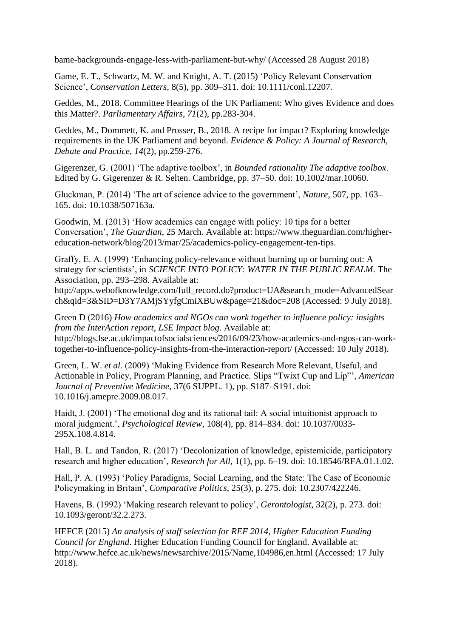bame-backgrounds-engage-less-with-parliament-but-why/ (Accessed 28 August 2018)

Game, E. T., Schwartz, M. W. and Knight, A. T. (2015) 'Policy Relevant Conservation Science', *Conservation Letters*, 8(5), pp. 309–311. doi: 10.1111/conl.12207.

Geddes, M., 2018. Committee Hearings of the UK Parliament: Who gives Evidence and does this Matter?. *Parliamentary Affairs*, *71*(2), pp.283-304.

Geddes, M., Dommett, K. and Prosser, B., 2018. A recipe for impact? Exploring knowledge requirements in the UK Parliament and beyond. *Evidence & Policy: A Journal of Research, Debate and Practice*, *14*(2), pp.259-276.

Gigerenzer, G. (2001) 'The adaptive toolbox', in *Bounded rationality The adaptive toolbox*. Edited by G. Gigerenzer & R. Selten. Cambridge, pp. 37–50. doi: 10.1002/mar.10060.

Gluckman, P. (2014) 'The art of science advice to the government', *Nature*, 507, pp. 163– 165. doi: 10.1038/507163a.

Goodwin, M. (2013) 'How academics can engage with policy: 10 tips for a better Conversation', *The Guardian*, 25 March. Available at: https://www.theguardian.com/highereducation-network/blog/2013/mar/25/academics-policy-engagement-ten-tips.

Graffy, E. A. (1999) 'Enhancing policy-relevance without burning up or burning out: A strategy for scientists', in *SCIENCE INTO POLICY: WATER IN THE PUBLIC REALM*. The Association, pp. 293–298. Available at:

http://apps.webofknowledge.com/full\_record.do?product=UA&search\_mode=AdvancedSear ch&qid=3&SID=D3Y7AMjSYyfgCmiXBUw&page=21&doc=208 (Accessed: 9 July 2018).

Green D (2016) *How academics and NGOs can work together to influence policy: insights from the InterAction report*, *LSE Impact blog*. Available at: http://blogs.lse.ac.uk/impactofsocialsciences/2016/09/23/how-academics-and-ngos-can-worktogether-to-influence-policy-insights-from-the-interaction-report/ (Accessed: 10 July 2018).

Green, L. W. *et al.* (2009) 'Making Evidence from Research More Relevant, Useful, and Actionable in Policy, Program Planning, and Practice. Slips "Twixt Cup and Lip"', *American Journal of Preventive Medicine*, 37(6 SUPPL. 1), pp. S187–S191. doi: 10.1016/j.amepre.2009.08.017.

Haidt, J. (2001) 'The emotional dog and its rational tail: A social intuitionist approach to moral judgment.', *Psychological Review*, 108(4), pp. 814–834. doi: 10.1037/0033- 295X.108.4.814.

Hall, B. L. and Tandon, R. (2017) 'Decolonization of knowledge, epistemicide, participatory research and higher education', *Research for All*, 1(1), pp. 6–19. doi: 10.18546/RFA.01.1.02.

Hall, P. A. (1993) 'Policy Paradigms, Social Learning, and the State: The Case of Economic Policymaking in Britain', *Comparative Politics*, 25(3), p. 275. doi: 10.2307/422246.

Havens, B. (1992) 'Making research relevant to policy', *Gerontologist*, 32(2), p. 273. doi: 10.1093/geront/32.2.273.

HEFCE (2015) *An analysis of staff selection for REF 2014*, *Higher Education Funding Council for England*. Higher Education Funding Council for England. Available at: http://www.hefce.ac.uk/news/newsarchive/2015/Name,104986,en.html (Accessed: 17 July 2018).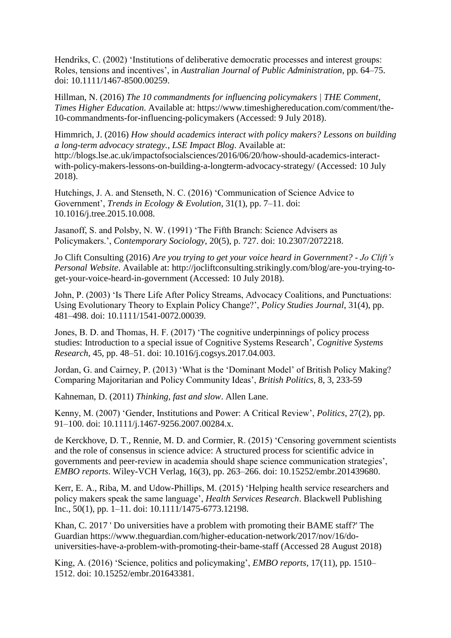Hendriks, C. (2002) 'Institutions of deliberative democratic processes and interest groups: Roles, tensions and incentives', in *Australian Journal of Public Administration*, pp. 64–75. doi: 10.1111/1467-8500.00259.

Hillman, N. (2016) *The 10 commandments for influencing policymakers | THE Comment*, *Times Higher Education*. Available at: https://www.timeshighereducation.com/comment/the-10-commandments-for-influencing-policymakers (Accessed: 9 July 2018).

Himmrich, J. (2016) *How should academics interact with policy makers? Lessons on building a long-term advocacy strategy.*, *LSE Impact Blog*. Available at: http://blogs.lse.ac.uk/impactofsocialsciences/2016/06/20/how-should-academics-interactwith-policy-makers-lessons-on-building-a-longterm-advocacy-strategy/ (Accessed: 10 July 2018).

Hutchings, J. A. and Stenseth, N. C. (2016) 'Communication of Science Advice to Government', *Trends in Ecology & Evolution*, 31(1), pp. 7–11. doi: 10.1016/j.tree.2015.10.008.

Jasanoff, S. and Polsby, N. W. (1991) 'The Fifth Branch: Science Advisers as Policymakers.', *Contemporary Sociology*, 20(5), p. 727. doi: 10.2307/2072218.

Jo Clift Consulting (2016) *Are you trying to get your voice heard in Government? - Jo Clift's Personal Website*. Available at: http://jocliftconsulting.strikingly.com/blog/are-you-trying-toget-your-voice-heard-in-government (Accessed: 10 July 2018).

John, P. (2003) 'Is There Life After Policy Streams, Advocacy Coalitions, and Punctuations: Using Evolutionary Theory to Explain Policy Change?', *Policy Studies Journal*, 31(4), pp. 481–498. doi: 10.1111/1541-0072.00039.

Jones, B. D. and Thomas, H. F. (2017) 'The cognitive underpinnings of policy process studies: Introduction to a special issue of Cognitive Systems Research', *Cognitive Systems Research*, 45, pp. 48–51. doi: 10.1016/j.cogsys.2017.04.003.

Jordan, G. and Cairney, P. (2013) 'What is the 'Dominant Model' of British Policy Making? Comparing Majoritarian and Policy Community Ideas', *British Politics*, 8, 3, 233-59

Kahneman, D. (2011) *Thinking, fast and slow*. Allen Lane.

Kenny, M. (2007) 'Gender, Institutions and Power: A Critical Review', *Politics*, 27(2), pp. 91–100. doi: 10.1111/j.1467-9256.2007.00284.x.

de Kerckhove, D. T., Rennie, M. D. and Cormier, R. (2015) 'Censoring government scientists and the role of consensus in science advice: A structured process for scientific advice in governments and peer-review in academia should shape science communication strategies', *EMBO reports*. Wiley-VCH Verlag, 16(3), pp. 263–266. doi: 10.15252/embr.201439680.

Kerr, E. A., Riba, M. and Udow-Phillips, M. (2015) 'Helping health service researchers and policy makers speak the same language', *Health Services Research*. Blackwell Publishing Inc., 50(1), pp. 1–11. doi: 10.1111/1475-6773.12198.

Khan, C. 2017 ' Do universities have a problem with promoting their BAME staff?' The Guardian https://www.theguardian.com/higher-education-network/2017/nov/16/douniversities-have-a-problem-with-promoting-their-bame-staff (Accessed 28 August 2018)

King, A. (2016) 'Science, politics and policymaking', *EMBO reports*, 17(11), pp. 1510– 1512. doi: 10.15252/embr.201643381.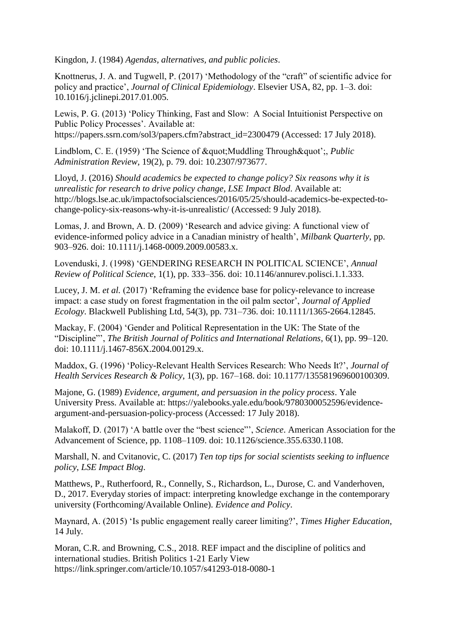Kingdon, J. (1984) *Agendas, alternatives, and public policies*.

Knottnerus, J. A. and Tugwell, P. (2017) 'Methodology of the "craft" of scientific advice for policy and practice', *Journal of Clinical Epidemiology*. Elsevier USA, 82, pp. 1–3. doi: 10.1016/j.jclinepi.2017.01.005.

Lewis, P. G. (2013) 'Policy Thinking, Fast and Slow: A Social Intuitionist Perspective on Public Policy Processes'. Available at: https://papers.ssrn.com/sol3/papers.cfm?abstract\_id=2300479 (Accessed: 17 July 2018).

Lindblom, C. E. (1959) 'The Science of " Muddling Through &quot';, *Public Administration Review*, 19(2), p. 79. doi: 10.2307/973677.

Lloyd, J. (2016) *Should academics be expected to change policy? Six reasons why it is unrealistic for research to drive policy change*, *LSE Impact Blod*. Available at: http://blogs.lse.ac.uk/impactofsocialsciences/2016/05/25/should-academics-be-expected-tochange-policy-six-reasons-why-it-is-unrealistic/ (Accessed: 9 July 2018).

Lomas, J. and Brown, A. D. (2009) 'Research and advice giving: A functional view of evidence-informed policy advice in a Canadian ministry of health', *Milbank Quarterly*, pp. 903–926. doi: 10.1111/j.1468-0009.2009.00583.x.

Lovenduski, J. (1998) 'GENDERING RESEARCH IN POLITICAL SCIENCE', *Annual Review of Political Science*, 1(1), pp. 333–356. doi: 10.1146/annurev.polisci.1.1.333.

Lucey, J. M. *et al.* (2017) 'Reframing the evidence base for policy-relevance to increase impact: a case study on forest fragmentation in the oil palm sector', *Journal of Applied Ecology*. Blackwell Publishing Ltd, 54(3), pp. 731–736. doi: 10.1111/1365-2664.12845.

Mackay, F. (2004) 'Gender and Political Representation in the UK: The State of the "Discipline"', *The British Journal of Politics and International Relations*, 6(1), pp. 99–120. doi: 10.1111/j.1467-856X.2004.00129.x.

Maddox, G. (1996) 'Policy-Relevant Health Services Research: Who Needs It?', *Journal of Health Services Research & Policy*, 1(3), pp. 167–168. doi: 10.1177/135581969600100309.

Majone, G. (1989) *Evidence, argument, and persuasion in the policy process*. Yale University Press. Available at: https://yalebooks.yale.edu/book/9780300052596/evidenceargument-and-persuasion-policy-process (Accessed: 17 July 2018).

Malakoff, D. (2017) 'A battle over the "best science"', *Science*. American Association for the Advancement of Science, pp. 1108–1109. doi: 10.1126/science.355.6330.1108.

Marshall, N. and Cvitanovic, C. (2017) *Ten top tips for social scientists seeking to influence policy*, *LSE Impact Blog*.

Matthews, P., Rutherfoord, R., Connelly, S., Richardson, L., Durose, C. and Vanderhoven, D., 2017. Everyday stories of impact: interpreting knowledge exchange in the contemporary university (Forthcoming/Available Online). *Evidence and Policy*.

Maynard, A. (2015) 'Is public engagement really career limiting?', *Times Higher Education*, 14 July.

Moran, C.R. and Browning, C.S., 2018. REF impact and the discipline of politics and international studies. British Politics 1-21 Early View https://link.springer.com/article/10.1057/s41293-018-0080-1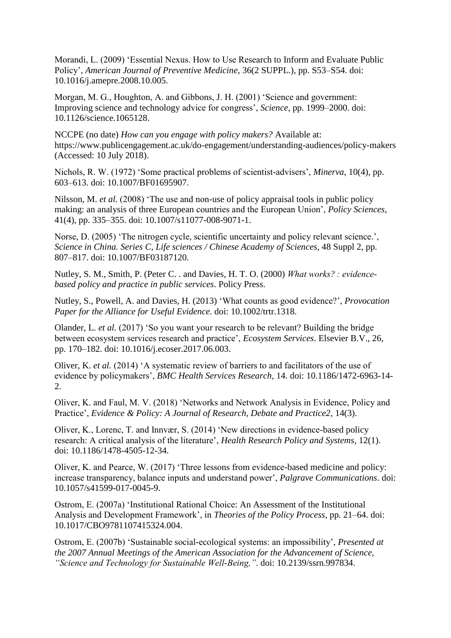Morandi, L. (2009) 'Essential Nexus. How to Use Research to Inform and Evaluate Public Policy', *American Journal of Preventive Medicine*, 36(2 SUPPL.), pp. S53–S54. doi: 10.1016/j.amepre.2008.10.005.

Morgan, M. G., Houghton, A. and Gibbons, J. H. (2001) 'Science and government: Improving science and technology advice for congress', *Science*, pp. 1999–2000. doi: 10.1126/science.1065128.

NCCPE (no date) *How can you engage with policy makers?* Available at: https://www.publicengagement.ac.uk/do-engagement/understanding-audiences/policy-makers (Accessed: 10 July 2018).

Nichols, R. W. (1972) 'Some practical problems of scientist-advisers', *Minerva*, 10(4), pp. 603–613. doi: 10.1007/BF01695907.

Nilsson, M. *et al.* (2008) 'The use and non-use of policy appraisal tools in public policy making: an analysis of three European countries and the European Union', *Policy Sciences*, 41(4), pp. 335–355. doi: 10.1007/s11077-008-9071-1.

Norse, D. (2005) 'The nitrogen cycle, scientific uncertainty and policy relevant science.', *Science in China. Series C, Life sciences / Chinese Academy of Sciences*, 48 Suppl 2, pp. 807–817. doi: 10.1007/BF03187120.

Nutley, S. M., Smith, P. (Peter C. . and Davies, H. T. O. (2000) *What works? : evidencebased policy and practice in public services*. Policy Press.

Nutley, S., Powell, A. and Davies, H. (2013) 'What counts as good evidence?', *Provocation Paper for the Alliance for Useful Evidence*. doi: 10.1002/trtr.1318.

Olander, L. *et al.* (2017) 'So you want your research to be relevant? Building the bridge between ecosystem services research and practice', *Ecosystem Services*. Elsevier B.V., 26, pp. 170–182. doi: 10.1016/j.ecoser.2017.06.003.

Oliver, K. *et al.* (2014) 'A systematic review of barriers to and facilitators of the use of evidence by policymakers', *BMC Health Services Research*, 14. doi: 10.1186/1472-6963-14- 2.

Oliver, K. and Faul, M. V. (2018) 'Networks and Network Analysis in Evidence, Policy and Practice', *Evidence & Policy: A Journal of Research, Debate and Practice2*, 14(3).

Oliver, K., Lorenc, T. and Innvær, S. (2014) 'New directions in evidence-based policy research: A critical analysis of the literature', *Health Research Policy and Systems*, 12(1). doi: 10.1186/1478-4505-12-34.

Oliver, K. and Pearce, W. (2017) 'Three lessons from evidence-based medicine and policy: increase transparency, balance inputs and understand power', *Palgrave Communications*. doi: 10.1057/s41599-017-0045-9.

Ostrom, E. (2007a) 'Institutional Rational Choice: An Assessment of the Institutional Analysis and Development Framework', in *Theories of the Policy Process*, pp. 21–64. doi: 10.1017/CBO9781107415324.004.

Ostrom, E. (2007b) 'Sustainable social-ecological systems: an impossibility', *Presented at the 2007 Annual Meetings of the American Association for the Advancement of Science, "Science and Technology for Sustainable Well-Being,"*. doi: 10.2139/ssrn.997834.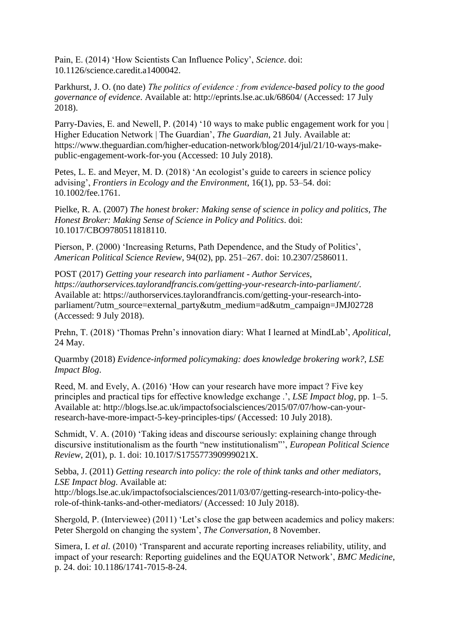Pain, E. (2014) 'How Scientists Can Influence Policy', *Science*. doi: 10.1126/science.caredit.a1400042.

Parkhurst, J. O. (no date) *The politics of evidence : from evidence-based policy to the good governance of evidence*. Available at: http://eprints.lse.ac.uk/68604/ (Accessed: 17 July 2018).

Parry-Davies, E. and Newell, P. (2014) '10 ways to make public engagement work for you | Higher Education Network | The Guardian', *The Guardian*, 21 July. Available at: https://www.theguardian.com/higher-education-network/blog/2014/jul/21/10-ways-makepublic-engagement-work-for-you (Accessed: 10 July 2018).

Petes, L. E. and Meyer, M. D. (2018) 'An ecologist's guide to careers in science policy advising', *Frontiers in Ecology and the Environment*, 16(1), pp. 53–54. doi: 10.1002/fee.1761.

Pielke, R. A. (2007) *The honest broker: Making sense of science in policy and politics*, *The Honest Broker: Making Sense of Science in Policy and Politics*. doi: 10.1017/CBO9780511818110.

Pierson, P. (2000) 'Increasing Returns, Path Dependence, and the Study of Politics', *American Political Science Review*, 94(02), pp. 251–267. doi: 10.2307/2586011.

POST (2017) *Getting your research into parliament - Author Services*, *https://authorservices.taylorandfrancis.com/getting-your-research-into-parliament/*. Available at: https://authorservices.taylorandfrancis.com/getting-your-research-intoparliament/?utm\_source=external\_party&utm\_medium=ad&utm\_campaign=JMJ02728 (Accessed: 9 July 2018).

Prehn, T. (2018) 'Thomas Prehn's innovation diary: What I learned at MindLab', *Apolitical*, 24 May.

Quarmby (2018) *Evidence-informed policymaking: does knowledge brokering work?*, *LSE Impact Blog*.

Reed, M. and Evely, A. (2016) 'How can your research have more impact ? Five key principles and practical tips for effective knowledge exchange .', *LSE Impact blog*, pp. 1–5. Available at: http://blogs.lse.ac.uk/impactofsocialsciences/2015/07/07/how-can-yourresearch-have-more-impact-5-key-principles-tips/ (Accessed: 10 July 2018).

Schmidt, V. A. (2010) 'Taking ideas and discourse seriously: explaining change through discursive institutionalism as the fourth "new institutionalism"', *European Political Science Review*, 2(01), p. 1. doi: 10.1017/S175577390999021X.

Sebba, J. (2011) *Getting research into policy: the role of think tanks and other mediators*, *LSE Impact blog*. Available at:

http://blogs.lse.ac.uk/impactofsocialsciences/2011/03/07/getting-research-into-policy-therole-of-think-tanks-and-other-mediators/ (Accessed: 10 July 2018).

Shergold, P. (Interviewee) (2011) 'Let's close the gap between academics and policy makers: Peter Shergold on changing the system', *The Conversation*, 8 November.

Simera, I. *et al.* (2010) 'Transparent and accurate reporting increases reliability, utility, and impact of your research: Reporting guidelines and the EQUATOR Network', *BMC Medicine*, p. 24. doi: 10.1186/1741-7015-8-24.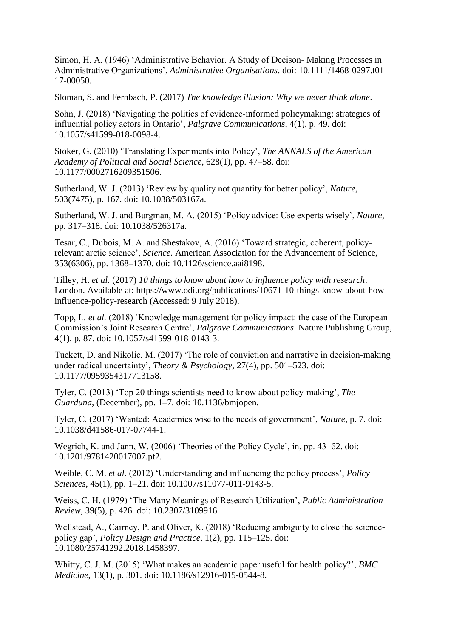Simon, H. A. (1946) 'Administrative Behavior. A Study of Decison- Making Processes in Administrative Organizations', *Administrative Organisations*. doi: 10.1111/1468-0297.t01- 17-00050.

Sloman, S. and Fernbach, P. (2017) *The knowledge illusion: Why we never think alone*.

Sohn, J. (2018) 'Navigating the politics of evidence-informed policymaking: strategies of influential policy actors in Ontario', *Palgrave Communications*, 4(1), p. 49. doi: 10.1057/s41599-018-0098-4.

Stoker, G. (2010) 'Translating Experiments into Policy', *The ANNALS of the American Academy of Political and Social Science*, 628(1), pp. 47–58. doi: 10.1177/0002716209351506.

Sutherland, W. J. (2013) 'Review by quality not quantity for better policy', *Nature*, 503(7475), p. 167. doi: 10.1038/503167a.

Sutherland, W. J. and Burgman, M. A. (2015) 'Policy advice: Use experts wisely', *Nature*, pp. 317–318. doi: 10.1038/526317a.

Tesar, C., Dubois, M. A. and Shestakov, A. (2016) 'Toward strategic, coherent, policyrelevant arctic science', *Science*. American Association for the Advancement of Science, 353(6306), pp. 1368–1370. doi: 10.1126/science.aai8198.

Tilley, H. *et al.* (2017) *10 things to know about how to influence policy with research*. London. Available at: https://www.odi.org/publications/10671-10-things-know-about-howinfluence-policy-research (Accessed: 9 July 2018).

Topp, L. *et al.* (2018) 'Knowledge management for policy impact: the case of the European Commission's Joint Research Centre', *Palgrave Communications*. Nature Publishing Group, 4(1), p. 87. doi: 10.1057/s41599-018-0143-3.

Tuckett, D. and Nikolic, M. (2017) 'The role of conviction and narrative in decision-making under radical uncertainty', *Theory & Psychology*, 27(4), pp. 501–523. doi: 10.1177/0959354317713158.

Tyler, C. (2013) 'Top 20 things scientists need to know about policy-making', *The Guarduna*, (December), pp. 1–7. doi: 10.1136/bmjopen.

Tyler, C. (2017) 'Wanted: Academics wise to the needs of government', *Nature*, p. 7. doi: 10.1038/d41586-017-07744-1.

Wegrich, K. and Jann, W. (2006) 'Theories of the Policy Cycle', in, pp. 43–62. doi: 10.1201/9781420017007.pt2.

Weible, C. M. *et al.* (2012) 'Understanding and influencing the policy process', *Policy Sciences*, 45(1), pp. 1–21. doi: 10.1007/s11077-011-9143-5.

Weiss, C. H. (1979) 'The Many Meanings of Research Utilization', *Public Administration Review*, 39(5), p. 426. doi: 10.2307/3109916.

Wellstead, A., Cairney, P. and Oliver, K. (2018) 'Reducing ambiguity to close the sciencepolicy gap', *Policy Design and Practice*, 1(2), pp. 115–125. doi: 10.1080/25741292.2018.1458397.

Whitty, C. J. M. (2015) 'What makes an academic paper useful for health policy?', *BMC Medicine*, 13(1), p. 301. doi: 10.1186/s12916-015-0544-8.